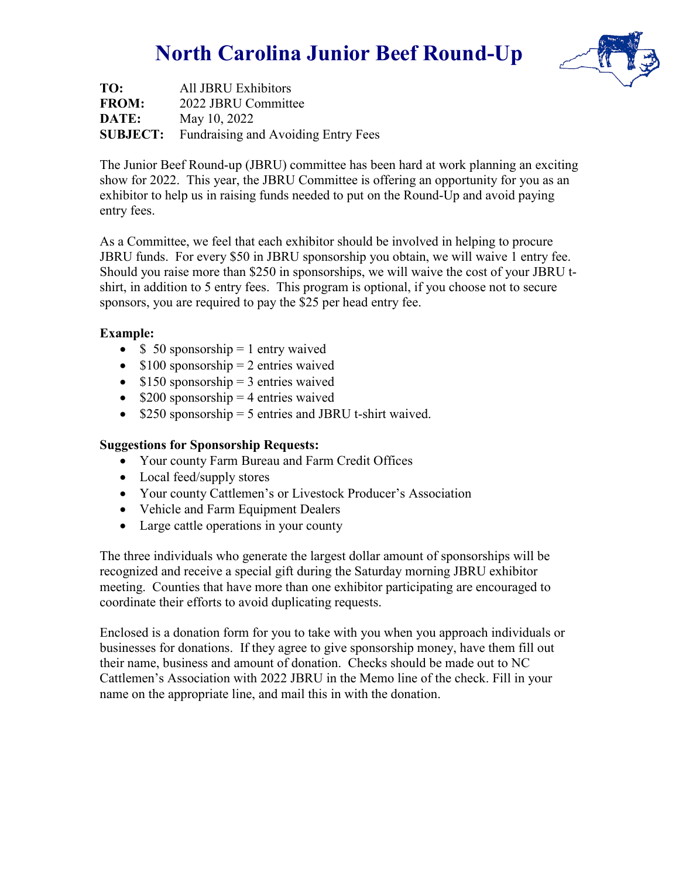## **North Carolina Junior Beef Round-Up**



**TO:** All JBRU Exhibitors **FROM:** 2022 JBRU Committee **DATE:** May 10, 2022 **SUBJECT:** Fundraising and Avoiding Entry Fees

The Junior Beef Round-up (JBRU) committee has been hard at work planning an exciting show for 2022. This year, the JBRU Committee is offering an opportunity for you as an exhibitor to help us in raising funds needed to put on the Round-Up and avoid paying entry fees.

As a Committee, we feel that each exhibitor should be involved in helping to procure JBRU funds. For every \$50 in JBRU sponsorship you obtain, we will waive 1 entry fee. Should you raise more than \$250 in sponsorships, we will waive the cost of your JBRU tshirt, in addition to 5 entry fees. This program is optional, if you choose not to secure sponsors, you are required to pay the \$25 per head entry fee.

### **Example:**

- $\$ 50$  sponsorship = 1 entry waived
- $$100$  sponsorship = 2 entries waived
- $$150$  sponsorship = 3 entries waived
- $$200$  sponsorship = 4 entries waived
- \$250 sponsorship = 5 entries and JBRU t-shirt waived.

### **Suggestions for Sponsorship Requests:**

- Your county Farm Bureau and Farm Credit Offices
- Local feed/supply stores
- Your county Cattlemen's or Livestock Producer's Association
- Vehicle and Farm Equipment Dealers
- Large cattle operations in your county

The three individuals who generate the largest dollar amount of sponsorships will be recognized and receive a special gift during the Saturday morning JBRU exhibitor meeting. Counties that have more than one exhibitor participating are encouraged to coordinate their efforts to avoid duplicating requests.

Enclosed is a donation form for you to take with you when you approach individuals or businesses for donations. If they agree to give sponsorship money, have them fill out their name, business and amount of donation. Checks should be made out to NC Cattlemen's Association with 2022 JBRU in the Memo line of the check. Fill in your name on the appropriate line, and mail this in with the donation.